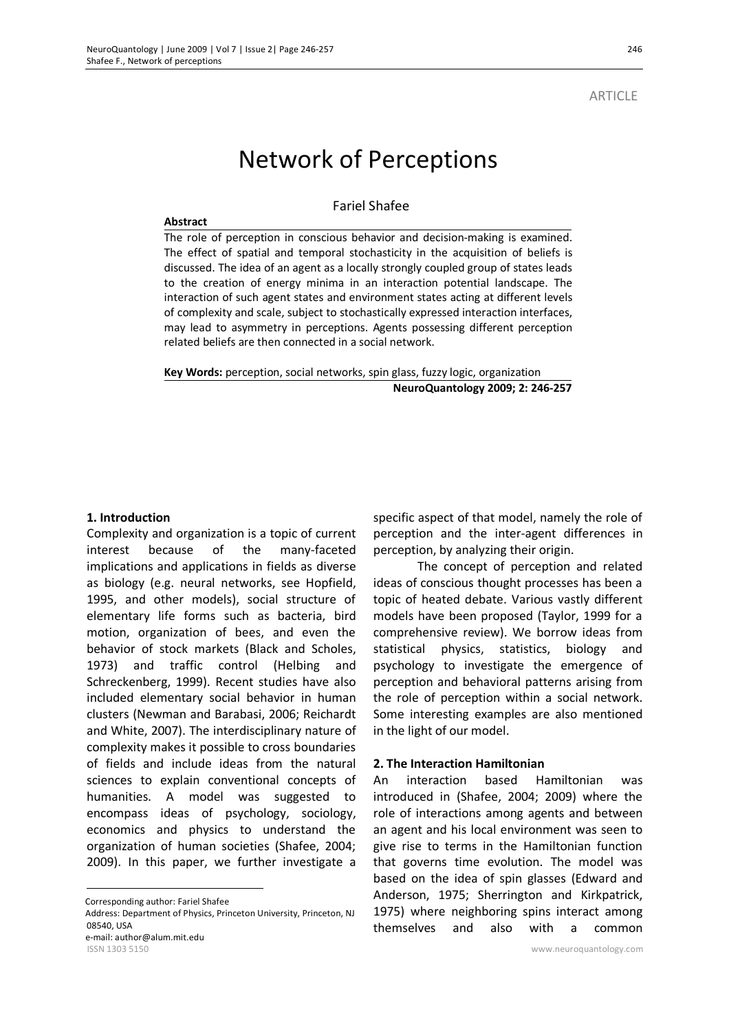**ARTICLE** 

# Network of Perceptions

#### Fariel Shafee

#### **Abstract**

The role of perception in conscious behavior and decision-making is examined. The effect of spatial and temporal stochasticity in the acquisition of beliefs is discussed. The idea of an agent as a locally strongly coupled group of states leads to the creation of energy minima in an interaction potential landscape. The interaction of such agent states and environment states acting at different levels of complexity and scale, subject to stochastically expressed interaction interfaces, may lead to asymmetry in perceptions. Agents possessing different perception related beliefs are then connected in a social network.

**Key Words:** perception, social networks, spin glass, fuzzy logic, organization **NeuroQuantology 2009; 2: 246-257**

#### **1.** Introduction

Complexity and organization is a topic of current interest because of the many-faceted implications and applications in fields as diverse as biology (e.g. neural networks, see Hopfield, 1995, and other models), social structure of elementary life forms such as bacteria, bird motion, organization of bees, and even the behavior of stock markets (Black and Scholes, 1973) and traffic control (Helbing and Schreckenberg, 1999). Recent studies have also included elementary social behavior in human clusters (Newman and Barabasi, 2006; Reichardt and White, 2007). The interdisciplinary nature of complexity makes it possible to cross boundaries of fields and include ideas from the natural sciences to explain conventional concepts of humanities. A model was suggested to encompass ideas of psychology, sociology, economics and physics to understand the organization of human societies (Shafee, 2004; 2009). In this paper, we further investigate a

Corresponding author: Fariel Shafee

 Address: Department of Physics, Princeton University, Princeton, NJ 08540, USA e-mail: author@alum.mit.edu

 $\overline{a}$ 

specific aspect of that model, namely the role of perception and the inter-agent differences in perception, by analyzing their origin.

The concept of perception and related ideas of conscious thought processes has been a topic of heated debate. Various vastly different models have been proposed (Taylor, 1999 for a comprehensive review). We borrow ideas from statistical physics, statistics, biology and psychology to investigate the emergence of perception and behavioral patterns arising from the role of perception within a social network. Some interesting examples are also mentioned in the light of our model.

#### **2. The Interaction Hamiltonian**

An interaction based Hamiltonian was introduced in (Shafee, 2004; 2009) where the role of interactions among agents and between an agent and his local environment was seen to give rise to terms in the Hamiltonian function that governs time evolution. The model was based on the idea of spin glasses (Edward and Anderson, 1975; Sherrington and Kirkpatrick, 1975) where neighboring spins interact among themselves and also with a common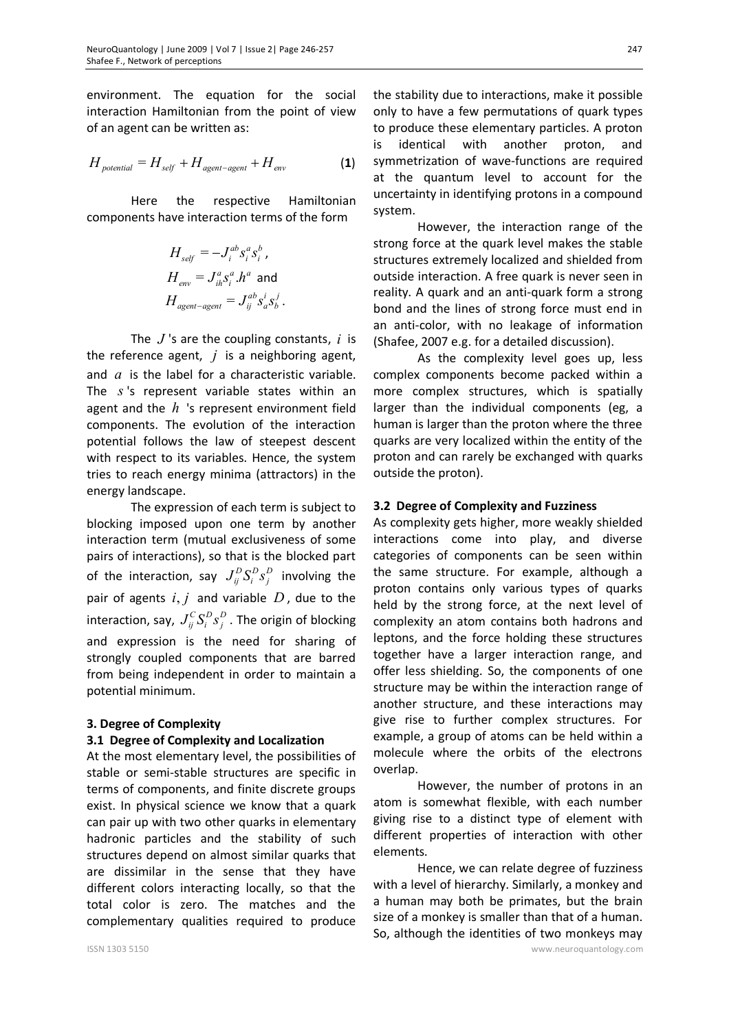environment. The equation for the social interaction Hamiltonian from the point of view of an agent can be written as:

$$
H_{\text{potential}} = H_{\text{self}} + H_{\text{agent-agent}} + H_{\text{env}}
$$
 (1)

Here the respective Hamiltonian components have interaction terms of the form

$$
H_{self} = -J_i^{ab} s_i^a s_i^b,
$$
  
\n
$$
H_{env} = J_{ih}^a s_i^a . h^a
$$
 and  
\n
$$
H_{agent-agent} = J_{ij}^{ab} s_a^i s_b^j.
$$

The *J* 's are the coupling constants, *i* is the reference agent, *j* is a neighboring agent, and *a* is the label for a characteristic variable. The *s* 's represent variable states within an agent and the *h* 's represent environment field components. The evolution of the interaction potential follows the law of steepest descent with respect to its variables. Hence, the system tries to reach energy minima (attractors) in the energy landscape.

The expression of each term is subject to blocking imposed upon one term by another interaction term (mutual exclusiveness of some pairs of interactions), so that is the blocked part of the interaction, say  $J_{ij}^D S_i^D s_j^D$  involving the pair of agents  $i, j$  and variable  $D$ , due to the interaction, say,  $J_{ij}^C S_i^D s_j^D$  . The origin of blocking and expression is the need for sharing of strongly coupled components that are barred from being independent in order to maintain a potential minimum.

#### **3. Degree of Complexity**

#### **3.1 Degree of Complexity and Localization**

At the most elementary level, the possibilities of stable or semi-stable structures are specific in terms of components, and finite discrete groups exist. In physical science we know that a quark can pair up with two other quarks in elementary hadronic particles and the stability of such structures depend on almost similar quarks that are dissimilar in the sense that they have different colors interacting locally, so that the total color is zero. The matches and the complementary qualities required to produce

the stability due to interactions, make it possible only to have a few permutations of quark types to produce these elementary particles. A proton is identical with another proton, and symmetrization of wave-functions are required at the quantum level to account for the uncertainty in identifying protons in a compound system.

However, the interaction range of the strong force at the quark level makes the stable structures extremely localized and shielded from outside interaction. A free quark is never seen in reality. A quark and an anti-quark form a strong bond and the lines of strong force must end in an anti-color, with no leakage of information (Shafee, 2007 e.g. for a detailed discussion).

As the complexity level goes up, less complex components become packed within a more complex structures, which is spatially larger than the individual components (eg, a human is larger than the proton where the three quarks are very localized within the entity of the proton and can rarely be exchanged with quarks outside the proton).

#### **3.2 Degree of Complexity and Fuzziness**

As complexity gets higher, more weakly shielded interactions come into play, and diverse categories of components can be seen within the same structure. For example, although a proton contains only various types of quarks held by the strong force, at the next level of complexity an atom contains both hadrons and leptons, and the force holding these structures together have a larger interaction range, and offer less shielding. So, the components of one structure may be within the interaction range of another structure, and these interactions may give rise to further complex structures. For example, a group of atoms can be held within a molecule where the orbits of the electrons overlap.

However, the number of protons in an atom is somewhat flexible, with each number giving rise to a distinct type of element with different properties of interaction with other elements.

Hence, we can relate degree of fuzziness with a level of hierarchy. Similarly, a monkey and a human may both be primates, but the brain size of a monkey is smaller than that of a human. So, although the identities of two monkeys may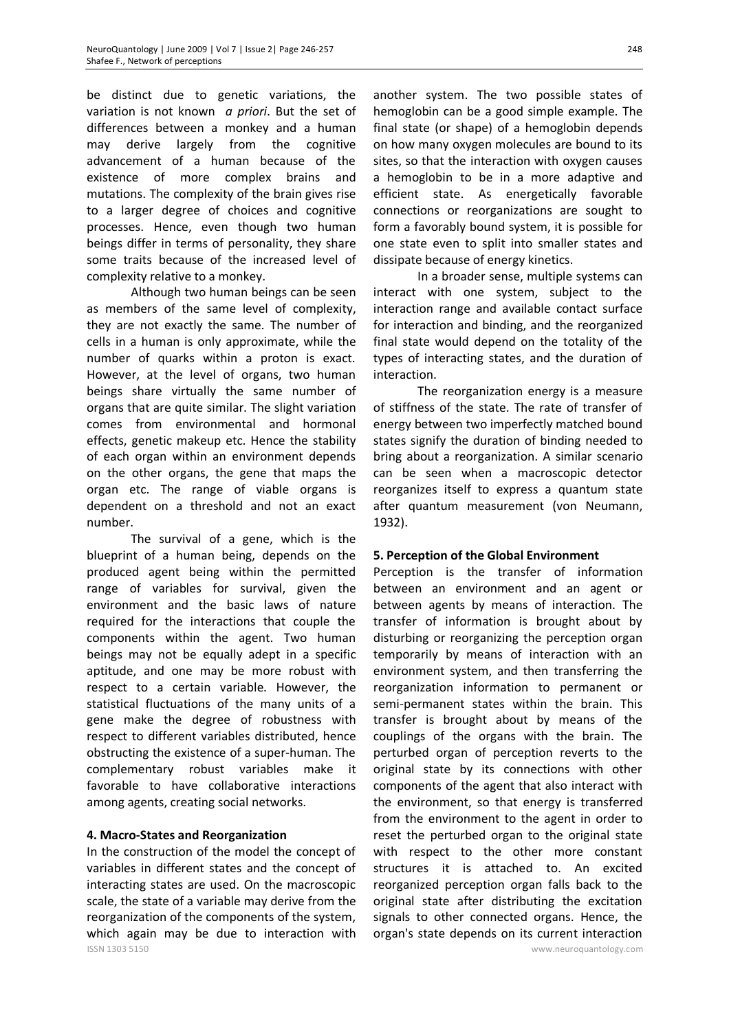be distinct due to genetic variations, the variation is not known *a priori*. But the set of differences between a monkey and a human may derive largely from the cognitive advancement of a human because of the existence of more complex brains and mutations. The complexity of the brain gives rise to a larger degree of choices and cognitive processes. Hence, even though two human beings differ in terms of personality, they share some traits because of the increased level of complexity relative to a monkey.

Although two human beings can be seen as members of the same level of complexity, they are not exactly the same. The number of cells in a human is only approximate, while the number of quarks within a proton is exact. However, at the level of organs, two human beings share virtually the same number of organs that are quite similar. The slight variation comes from environmental and hormonal effects, genetic makeup etc. Hence the stability of each organ within an environment depends on the other organs, the gene that maps the organ etc. The range of viable organs is dependent on a threshold and not an exact number.

The survival of a gene, which is the blueprint of a human being, depends on the produced agent being within the permitted range of variables for survival, given the environment and the basic laws of nature required for the interactions that couple the components within the agent. Two human beings may not be equally adept in a specific aptitude, and one may be more robust with respect to a certain variable. However, the statistical fluctuations of the many units of a gene make the degree of robustness with respect to different variables distributed, hence obstructing the existence of a super-human. The complementary robust variables make it favorable to have collaborative interactions among agents, creating social networks.

### **4. Macro-States and Reorganization**

ISSN 1303 5150 www.neuroquantology.com In the construction of the model the concept of variables in different states and the concept of interacting states are used. On the macroscopic scale, the state of a variable may derive from the reorganization of the components of the system, which again may be due to interaction with

another system. The two possible states of hemoglobin can be a good simple example. The final state (or shape) of a hemoglobin depends on how many oxygen molecules are bound to its sites, so that the interaction with oxygen causes a hemoglobin to be in a more adaptive and efficient state. As energetically favorable connections or reorganizations are sought to form a favorably bound system, it is possible for one state even to split into smaller states and dissipate because of energy kinetics.

In a broader sense, multiple systems can interact with one system, subject to the interaction range and available contact surface for interaction and binding, and the reorganized final state would depend on the totality of the types of interacting states, and the duration of interaction.

The reorganization energy is a measure of stiffness of the state. The rate of transfer of energy between two imperfectly matched bound states signify the duration of binding needed to bring about a reorganization. A similar scenario can be seen when a macroscopic detector reorganizes itself to express a quantum state after quantum measurement (von Neumann, 1932).

### **5. Perception of the Global Environment**

Perception is the transfer of information between an environment and an agent or between agents by means of interaction. The transfer of information is brought about by disturbing or reorganizing the perception organ temporarily by means of interaction with an environment system, and then transferring the reorganization information to permanent or semi-permanent states within the brain. This transfer is brought about by means of the couplings of the organs with the brain. The perturbed organ of perception reverts to the original state by its connections with other components of the agent that also interact with the environment, so that energy is transferred from the environment to the agent in order to reset the perturbed organ to the original state with respect to the other more constant structures it is attached to. An excited reorganized perception organ falls back to the original state after distributing the excitation signals to other connected organs. Hence, the organ's state depends on its current interaction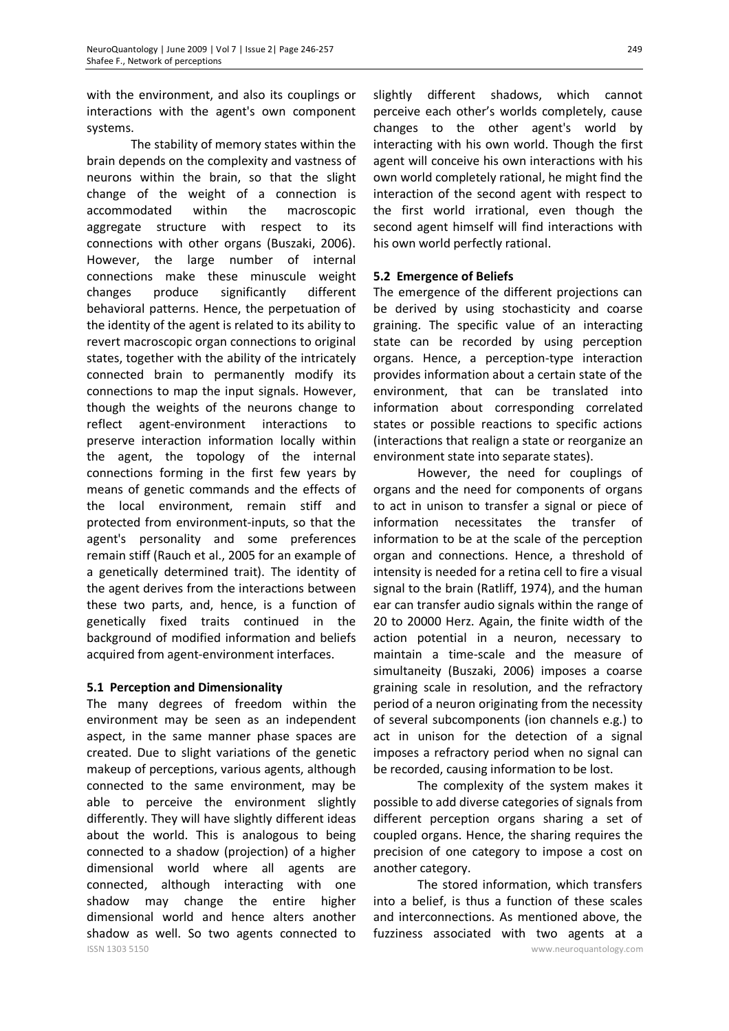with the environment, and also its couplings or interactions with the agent's own component systems.

The stability of memory states within the brain depends on the complexity and vastness of neurons within the brain, so that the slight change of the weight of a connection is accommodated within the macroscopic aggregate structure with respect to its connections with other organs (Buszaki, 2006). However, the large number of internal connections make these minuscule weight changes produce significantly different behavioral patterns. Hence, the perpetuation of the identity of the agent is related to its ability to revert macroscopic organ connections to original states, together with the ability of the intricately connected brain to permanently modify its connections to map the input signals. However, though the weights of the neurons change to reflect agent-environment interactions to preserve interaction information locally within the agent, the topology of the internal connections forming in the first few years by means of genetic commands and the effects of the local environment, remain stiff and protected from environment-inputs, so that the agent's personality and some preferences remain stiff (Rauch et al., 2005 for an example of a genetically determined trait). The identity of the agent derives from the interactions between these two parts, and, hence, is a function of genetically fixed traits continued in the background of modified information and beliefs acquired from agent-environment interfaces.

### **5.1 Perception and Dimensionality**

ISSN 1303 5150 www.neuroquantology.com The many degrees of freedom within the environment may be seen as an independent aspect, in the same manner phase spaces are created. Due to slight variations of the genetic makeup of perceptions, various agents, although connected to the same environment, may be able to perceive the environment slightly differently. They will have slightly different ideas about the world. This is analogous to being connected to a shadow (projection) of a higher dimensional world where all agents are connected, although interacting with one shadow may change the entire higher dimensional world and hence alters another shadow as well. So two agents connected to

slightly different shadows, which cannot perceive each other's worlds completely, cause changes to the other agent's world by interacting with his own world. Though the first agent will conceive his own interactions with his own world completely rational, he might find the interaction of the second agent with respect to the first world irrational, even though the second agent himself will find interactions with his own world perfectly rational.

### **5.2 Emergence of Beliefs**

The emergence of the different projections can be derived by using stochasticity and coarse graining. The specific value of an interacting state can be recorded by using perception organs. Hence, a perception-type interaction provides information about a certain state of the environment, that can be translated into information about corresponding correlated states or possible reactions to specific actions (interactions that realign a state or reorganize an environment state into separate states).

However, the need for couplings of organs and the need for components of organs to act in unison to transfer a signal or piece of information necessitates the transfer of information to be at the scale of the perception organ and connections. Hence, a threshold of intensity is needed for a retina cell to fire a visual signal to the brain (Ratliff, 1974), and the human ear can transfer audio signals within the range of 20 to 20000 Herz. Again, the finite width of the action potential in a neuron, necessary to maintain a time-scale and the measure of simultaneity (Buszaki, 2006) imposes a coarse graining scale in resolution, and the refractory period of a neuron originating from the necessity of several subcomponents (ion channels e.g.) to act in unison for the detection of a signal imposes a refractory period when no signal can be recorded, causing information to be lost.

The complexity of the system makes it possible to add diverse categories of signals from different perception organs sharing a set of coupled organs. Hence, the sharing requires the precision of one category to impose a cost on another category.

The stored information, which transfers into a belief, is thus a function of these scales and interconnections. As mentioned above, the fuzziness associated with two agents at a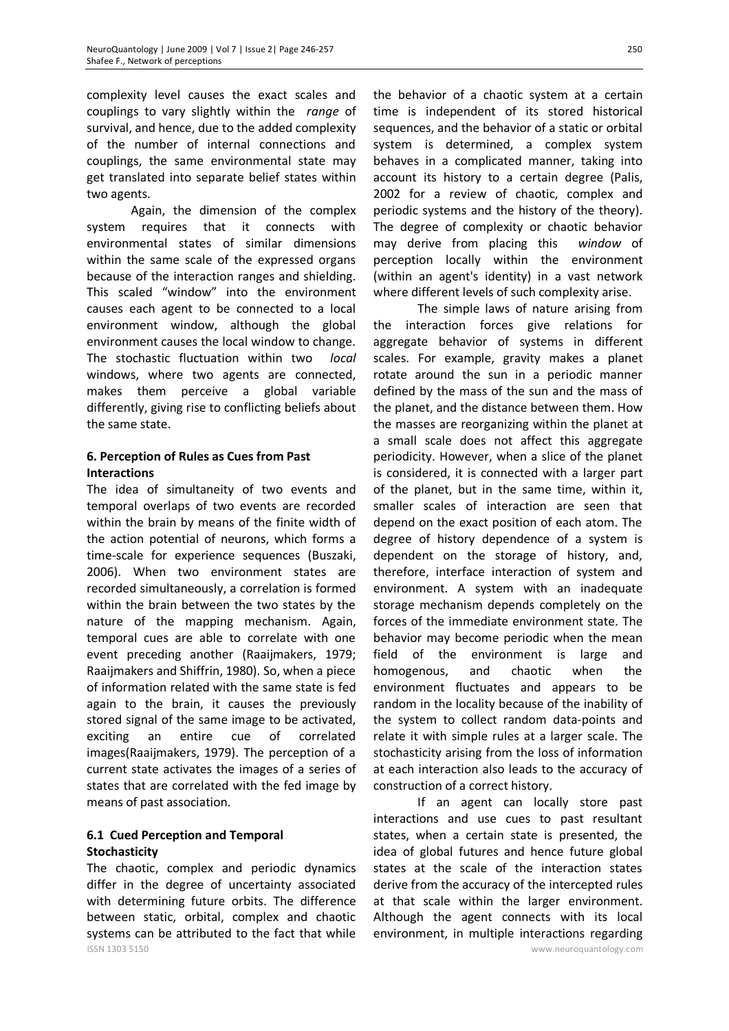complexity level causes the exact scales and couplings to vary slightly within the *range* of survival, and hence, due to the added complexity of the number of internal connections and couplings, the same environmental state may get translated into separate belief states within two agents.

Again, the dimension of the complex system requires that it connects with environmental states of similar dimensions within the same scale of the expressed organs because of the interaction ranges and shielding. This scaled "window" into the environment causes each agent to be connected to a local environment window, although the global environment causes the local window to change. The stochastic fluctuation within two *local* windows, where two agents are connected, makes them perceive a global variable differently, giving rise to conflicting beliefs about the same state.

# **6. Perception of Rules as Cues from Past Interactions**

The idea of simultaneity of two events and temporal overlaps of two events are recorded within the brain by means of the finite width of the action potential of neurons, which forms a time-scale for experience sequences (Buszaki, 2006). When two environment states are recorded simultaneously, a correlation is formed within the brain between the two states by the nature of the mapping mechanism. Again, temporal cues are able to correlate with one event preceding another (Raaijmakers, 1979; Raaijmakers and Shiffrin, 1980). So, when a piece of information related with the same state is fed again to the brain, it causes the previously stored signal of the same image to be activated, exciting an entire cue of correlated images(Raaijmakers, 1979). The perception of a current state activates the images of a series of states that are correlated with the fed image by means of past association.

# **6.1 Cued Perception and Temporal Stochasticity**

ISSN 1303 5150 www.neuroquantology.com The chaotic, complex and periodic dynamics differ in the degree of uncertainty associated with determining future orbits. The difference between static, orbital, complex and chaotic systems can be attributed to the fact that while

the behavior of a chaotic system at a certain time is independent of its stored historical sequences, and the behavior of a static or orbital system is determined, a complex system behaves in a complicated manner, taking into account its history to a certain degree (Palis, 2002 for a review of chaotic, complex and periodic systems and the history of the theory). The degree of complexity or chaotic behavior may derive from placing this *window* of perception locally within the environment (within an agent's identity) in a vast network where different levels of such complexity arise.

The simple laws of nature arising from the interaction forces give relations for aggregate behavior of systems in different scales. For example, gravity makes a planet rotate around the sun in a periodic manner defined by the mass of the sun and the mass of the planet, and the distance between them. How the masses are reorganizing within the planet at a small scale does not affect this aggregate periodicity. However, when a slice of the planet is considered, it is connected with a larger part of the planet, but in the same time, within it, smaller scales of interaction are seen that depend on the exact position of each atom. The degree of history dependence of a system is dependent on the storage of history, and, therefore, interface interaction of system and environment. A system with an inadequate storage mechanism depends completely on the forces of the immediate environment state. The behavior may become periodic when the mean field of the environment is large and homogenous, and chaotic when the environment fluctuates and appears to be random in the locality because of the inability of the system to collect random data-points and relate it with simple rules at a larger scale. The stochasticity arising from the loss of information at each interaction also leads to the accuracy of construction of a correct history.

If an agent can locally store past interactions and use cues to past resultant states, when a certain state is presented, the idea of global futures and hence future global states at the scale of the interaction states derive from the accuracy of the intercepted rules at that scale within the larger environment. Although the agent connects with its local environment, in multiple interactions regarding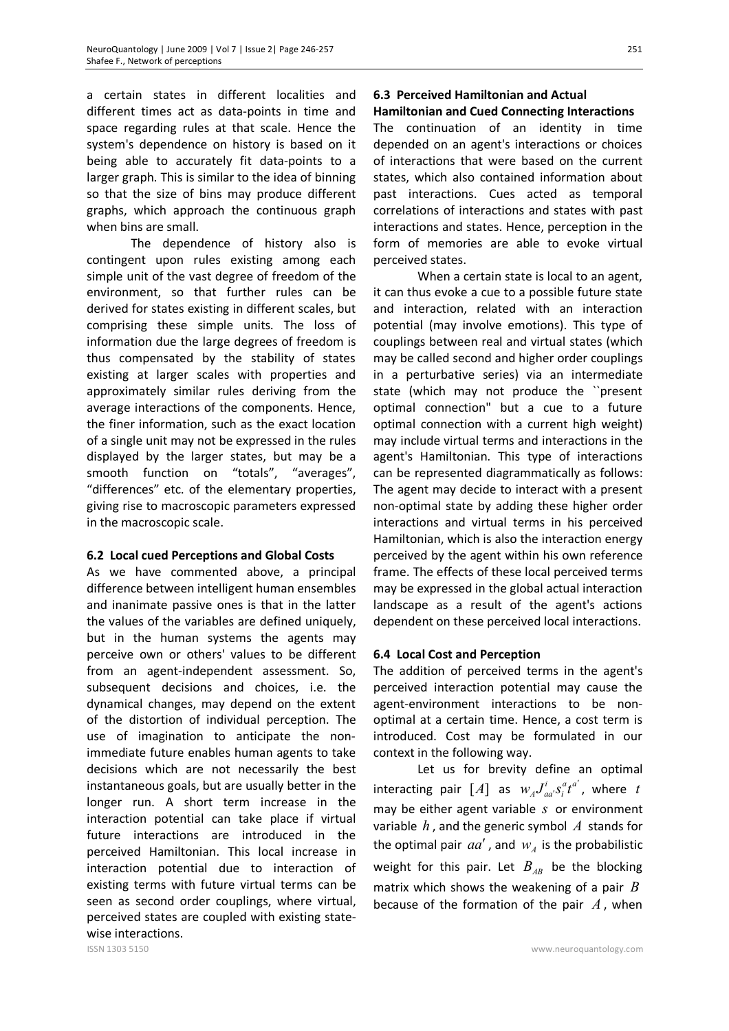a certain states in different localities and different times act as data-points in time and space regarding rules at that scale. Hence the system's dependence on history is based on it being able to accurately fit data-points to a larger graph. This is similar to the idea of binning so that the size of bins may produce different graphs, which approach the continuous graph when bins are small.

The dependence of history also is contingent upon rules existing among each simple unit of the vast degree of freedom of the environment, so that further rules can be derived for states existing in different scales, but comprising these simple units. The loss of information due the large degrees of freedom is thus compensated by the stability of states existing at larger scales with properties and approximately similar rules deriving from the average interactions of the components. Hence, the finer information, such as the exact location of a single unit may not be expressed in the rules displayed by the larger states, but may be a smooth function on "totals", "averages", "differences" etc. of the elementary properties, giving rise to macroscopic parameters expressed in the macroscopic scale.

### **6.2 Local cued Perceptions and Global Costs**

As we have commented above, a principal difference between intelligent human ensembles and inanimate passive ones is that in the latter the values of the variables are defined uniquely, but in the human systems the agents may perceive own or others' values to be different from an agent-independent assessment. So, subsequent decisions and choices, i.e. the dynamical changes, may depend on the extent of the distortion of individual perception. The use of imagination to anticipate the nonimmediate future enables human agents to take decisions which are not necessarily the best instantaneous goals, but are usually better in the longer run. A short term increase in the interaction potential can take place if virtual future interactions are introduced in the perceived Hamiltonian. This local increase in interaction potential due to interaction of existing terms with future virtual terms can be seen as second order couplings, where virtual, perceived states are coupled with existing statewise interactions.

# **6.3 Perceived Hamiltonian and Actual Hamiltonian and Cued Connecting Interactions**

The continuation of an identity in time depended on an agent's interactions or choices of interactions that were based on the current states, which also contained information about past interactions. Cues acted as temporal correlations of interactions and states with past interactions and states. Hence, perception in the form of memories are able to evoke virtual perceived states.

When a certain state is local to an agent, it can thus evoke a cue to a possible future state and interaction, related with an interaction potential (may involve emotions). This type of couplings between real and virtual states (which may be called second and higher order couplings in a perturbative series) via an intermediate state (which may not produce the ``present optimal connection" but a cue to a future optimal connection with a current high weight) may include virtual terms and interactions in the agent's Hamiltonian. This type of interactions can be represented diagrammatically as follows: The agent may decide to interact with a present non-optimal state by adding these higher order interactions and virtual terms in his perceived Hamiltonian, which is also the interaction energy perceived by the agent within his own reference frame. The effects of these local perceived terms may be expressed in the global actual interaction landscape as a result of the agent's actions dependent on these perceived local interactions.

#### **6.4 Local Cost and Perception**

The addition of perceived terms in the agent's perceived interaction potential may cause the agent-environment interactions to be nonoptimal at a certain time. Hence, a cost term is introduced. Cost may be formulated in our context in the following way.

Let us for brevity define an optimal  $\text{interacting pair } [A]$  as  $w_A J_{aa'}^i s_i^a t^{a'}$ , where  $t$ may be either agent variable *s* or environment variable *h* , and the generic symbol *A* stands for the optimal pair  $aa'$ , and  $w_A$  is the probabilistic weight for this pair. Let  $B_{AB}$  be the blocking matrix which shows the weakening of a pair *B* because of the formation of the pair *A* , when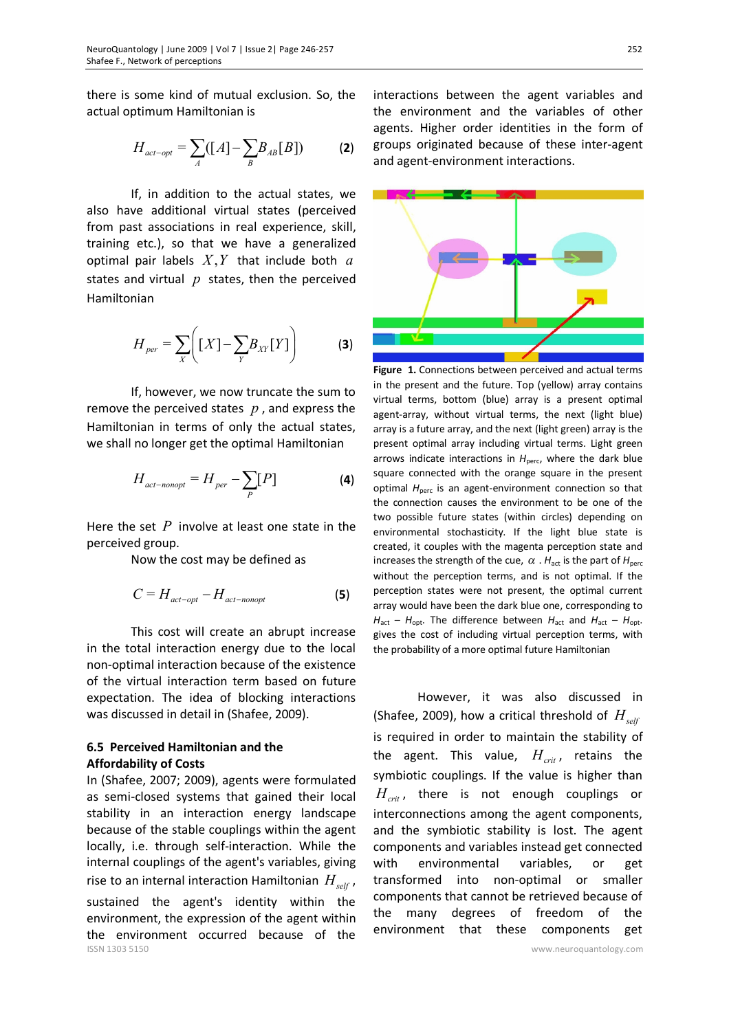there is some kind of mutual exclusion. So, the actual optimum Hamiltonian is

$$
H_{act-opt} = \sum_{A} ([A] - \sum_{B} B_{AB}[B])
$$
 (2)

If, in addition to the actual states, we also have additional virtual states (perceived from past associations in real experience, skill, training etc.), so that we have a generalized optimal pair labels *X Y*, that include both *a* states and virtual *p* states, then the perceived Hamiltonian

$$
H_{per} = \sum_{X} \bigg( [X] - \sum_{Y} B_{XY} [Y] \bigg) \tag{3}
$$

If, however, we now truncate the sum to remove the perceived states *p* , and express the Hamiltonian in terms of only the actual states, we shall no longer get the optimal Hamiltonian

$$
H_{act-nonopt} = H_{per} - \sum_{P} [P] \tag{4}
$$

Here the set *P* involve at least one state in the perceived group.

Now the cost may be defined as

$$
C = H_{act-opt} - H_{act-nonopt}
$$
 (5)

This cost will create an abrupt increase in the total interaction energy due to the local non-optimal interaction because of the existence of the virtual interaction term based on future expectation. The idea of blocking interactions was discussed in detail in (Shafee, 2009).

#### **6.5 Perceived Hamiltonian and the Affordability of Costs**

ISSN 1303 5150 www.neuroquantology.com In (Shafee, 2007; 2009), agents were formulated as semi-closed systems that gained their local stability in an interaction energy landscape because of the stable couplings within the agent locally, i.e. through self-interaction. While the internal couplings of the agent's variables, giving rise to an internal interaction Hamiltonian  $H_{\text{self}}$ , sustained the agent's identity within the environment, the expression of the agent within the environment occurred because of the

interactions between the agent variables and the environment and the variables of other agents. Higher order identities in the form of groups originated because of these inter-agent and agent-environment interactions.



**Figure 1.** Connections between perceived and actual terms in the present and the future. Top (yellow) array contains virtual terms, bottom (blue) array is a present optimal agent-array, without virtual terms, the next (light blue) array is a future array, and the next (light green) array is the present optimal array including virtual terms. Light green arrows indicate interactions in *H*<sub>perc</sub>, where the dark blue square connected with the orange square in the present optimal *H*perc is an agent-environment connection so that the connection causes the environment to be one of the two possible future states (within circles) depending on environmental stochasticity. If the light blue state is created, it couples with the magenta perception state and increases the strength of the cue,  $\alpha$ .  $H_{\text{act}}$  is the part of  $H_{\text{perc}}$ without the perception terms, and is not optimal. If the perception states were not present, the optimal current array would have been the dark blue one, corresponding to  $H_{\text{act}} - H_{\text{opt}}$ . The difference between  $H_{\text{act}}$  and  $H_{\text{act}} - H_{\text{opt}}$ . gives the cost of including virtual perception terms, with the probability of a more optimal future Hamiltonian

However, it was also discussed in (Shafee, 2009), how a critical threshold of  $H_{\text{self}}$ is required in order to maintain the stability of the agent. This value,  $H_{\text{crit}}$ , retains the symbiotic couplings. If the value is higher than *Hcrit* , there is not enough couplings or interconnections among the agent components, and the symbiotic stability is lost. The agent components and variables instead get connected with environmental variables, or get transformed into non-optimal or smaller components that cannot be retrieved because of the many degrees of freedom of the environment that these components get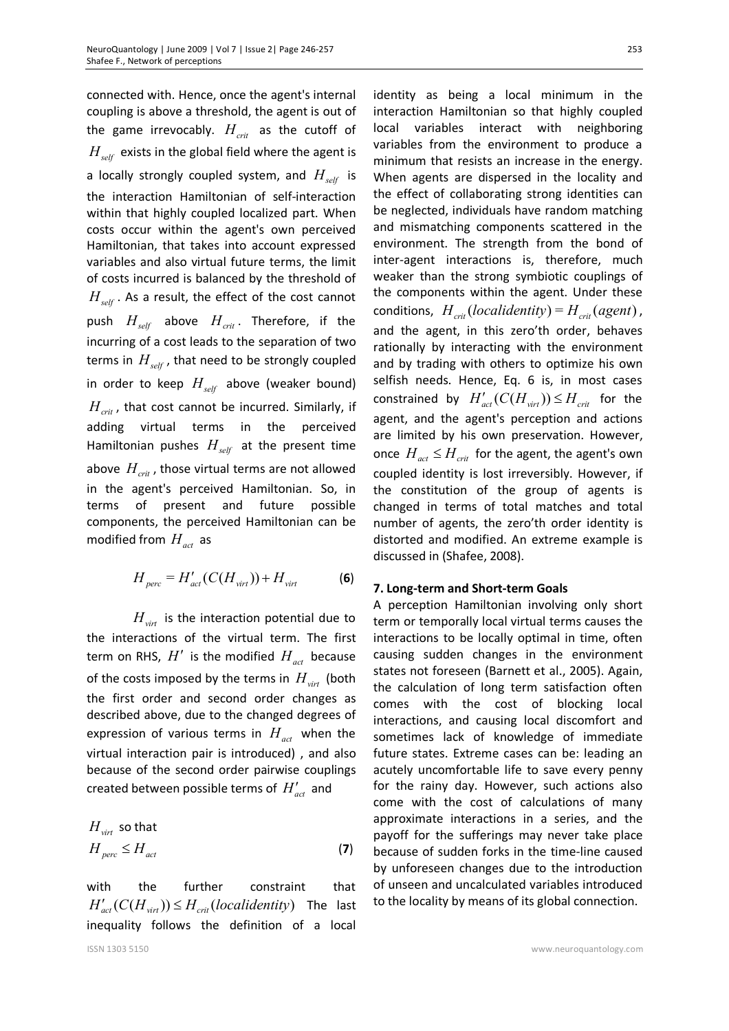connected with. Hence, once the agent's internal coupling is above a threshold, the agent is out of the game irrevocably.  $H_{crit}$  as the cutoff of *Hself* exists in the global field where the agent is a locally strongly coupled system, and *Hself* is the interaction Hamiltonian of self-interaction within that highly coupled localized part. When costs occur within the agent's own perceived Hamiltonian, that takes into account expressed variables and also virtual future terms, the limit of costs incurred is balanced by the threshold of *Hself* . As a result, the effect of the cost cannot push  $H_{self}$  above  $H_{crit}$ . Therefore, if the incurring of a cost leads to the separation of two terms in *Hself* , that need to be strongly coupled in order to keep *Hself* above (weaker bound) *Hcrit* , that cost cannot be incurred. Similarly, if adding virtual terms in the perceived Hamiltonian pushes *Hself* at the present time above  $H_{\text{crit}}$ , those virtual terms are not allowed in the agent's perceived Hamiltonian. So, in terms of present and future possible components, the perceived Hamiltonian can be modified from  $H_{act}$  as

$$
H_{\text{perc}} = H_{\text{act}}' (C(H_{\text{virt}})) + H_{\text{virt}} \tag{6}
$$

*Hvirt* is the interaction potential due to the interactions of the virtual term. The first term on RHS,  $H'$  is the modified  $H_{act}$  because of the costs imposed by the terms in  $H_{\text{virt}}$  (both the first order and second order changes as described above, due to the changed degrees of expression of various terms in  $H_{act}$  when the virtual interaction pair is introduced) , and also because of the second order pairwise couplings created between possible terms of  $H'_{act}$  and

$$
H_{virt} \text{ so that}
$$
\n
$$
H_{perc} \leq H_{act} \tag{7}
$$

with the further constraint that  $H'_{act}(C(H_{virt})) \leq H_{crit}(localidentity)$  The last inequality follows the definition of a local

identity as being a local minimum in the interaction Hamiltonian so that highly coupled local variables interact with neighboring variables from the environment to produce a minimum that resists an increase in the energy. When agents are dispersed in the locality and the effect of collaborating strong identities can be neglected, individuals have random matching and mismatching components scattered in the environment. The strength from the bond of inter-agent interactions is, therefore, much weaker than the strong symbiotic couplings of the components within the agent. Under these conditions,  $H_{crit}$  (*localidentity*) =  $H_{crit}$  (*agent*), and the agent, in this zero'th order, behaves rationally by interacting with the environment and by trading with others to optimize his own selfish needs. Hence, Eq. 6 is, in most cases constrained by  $H'_{act}( C(H_{virt})) \leq H_{crit}$  for the agent, and the agent's perception and actions are limited by his own preservation. However, once  $H_{act} \leq H_{crit}$  for the agent, the agent's own coupled identity is lost irreversibly. However, if the constitution of the group of agents is changed in terms of total matches and total number of agents, the zero'th order identity is distorted and modified. An extreme example is discussed in (Shafee, 2008).

#### **7. Long-term and Short-term Goals**

A perception Hamiltonian involving only short term or temporally local virtual terms causes the interactions to be locally optimal in time, often causing sudden changes in the environment states not foreseen (Barnett et al., 2005). Again, the calculation of long term satisfaction often comes with the cost of blocking local interactions, and causing local discomfort and sometimes lack of knowledge of immediate future states. Extreme cases can be: leading an acutely uncomfortable life to save every penny for the rainy day. However, such actions also come with the cost of calculations of many approximate interactions in a series, and the payoff for the sufferings may never take place because of sudden forks in the time-line caused by unforeseen changes due to the introduction of unseen and uncalculated variables introduced to the locality by means of its global connection.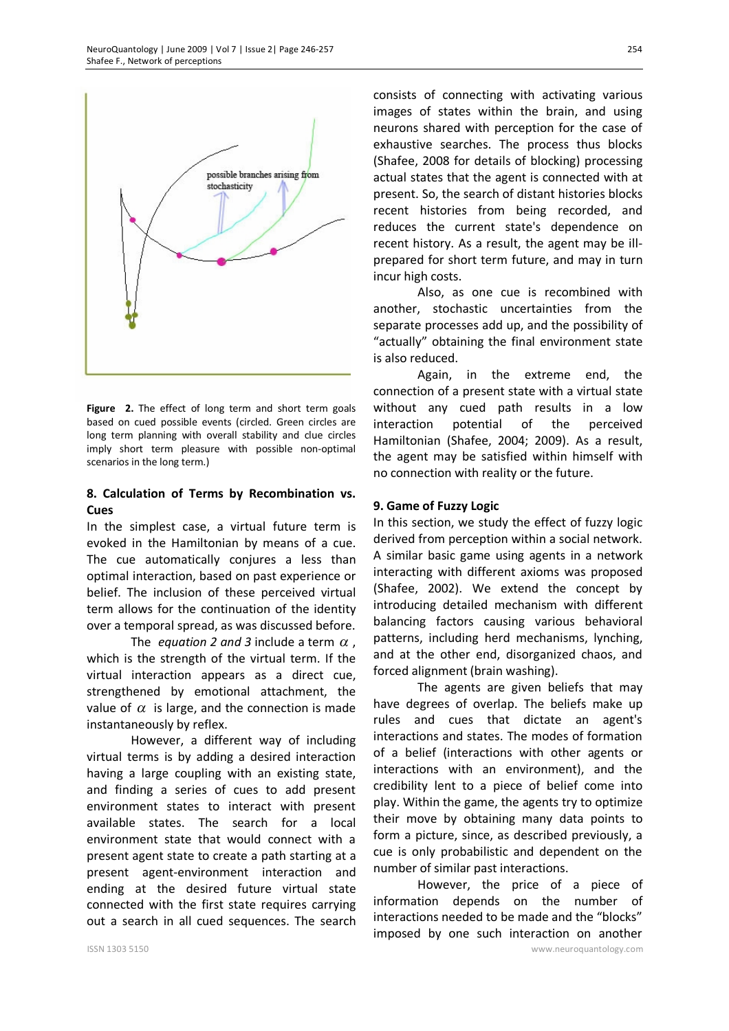

Figure 2. The effect of long term and short term goals based on cued possible events (circled. Green circles are long term planning with overall stability and clue circles imply short term pleasure with possible non-optimal scenarios in the long term.)

#### **8. Calculation of Terms by Recombination vs. Cues**

In the simplest case, a virtual future term is evoked in the Hamiltonian by means of a cue. The cue automatically conjures a less than optimal interaction, based on past experience or belief. The inclusion of these perceived virtual term allows for the continuation of the identity over a temporal spread, as was discussed before.

The *equation* 2 *and* 3 include a term  $\alpha$ , which is the strength of the virtual term. If the virtual interaction appears as a direct cue, strengthened by emotional attachment, the value of  $\alpha$  is large, and the connection is made instantaneously by reflex.

However, a different way of including virtual terms is by adding a desired interaction having a large coupling with an existing state, and finding a series of cues to add present environment states to interact with present available states. The search for a local environment state that would connect with a present agent state to create a path starting at a present agent-environment interaction and ending at the desired future virtual state connected with the first state requires carrying out a search in all cued sequences. The search

consists of connecting with activating various images of states within the brain, and using neurons shared with perception for the case of exhaustive searches. The process thus blocks (Shafee, 2008 for details of blocking) processing actual states that the agent is connected with at present. So, the search of distant histories blocks recent histories from being recorded, and reduces the current state's dependence on recent history. As a result, the agent may be illprepared for short term future, and may in turn incur high costs.

Also, as one cue is recombined with another, stochastic uncertainties from the separate processes add up, and the possibility of "actually" obtaining the final environment state is also reduced.

Again, in the extreme end, the connection of a present state with a virtual state without any cued path results in a low interaction potential of the perceived Hamiltonian (Shafee, 2004; 2009). As a result, the agent may be satisfied within himself with no connection with reality or the future.

#### **9. Game of Fuzzy Logic**

In this section, we study the effect of fuzzy logic derived from perception within a social network. A similar basic game using agents in a network interacting with different axioms was proposed (Shafee, 2002). We extend the concept by introducing detailed mechanism with different balancing factors causing various behavioral patterns, including herd mechanisms, lynching, and at the other end, disorganized chaos, and forced alignment (brain washing).

The agents are given beliefs that may have degrees of overlap. The beliefs make up rules and cues that dictate an agent's interactions and states. The modes of formation of a belief (interactions with other agents or interactions with an environment), and the credibility lent to a piece of belief come into play. Within the game, the agents try to optimize their move by obtaining many data points to form a picture, since, as described previously, a cue is only probabilistic and dependent on the number of similar past interactions.

However, the price of a piece of information depends on the number of interactions needed to be made and the "blocks" imposed by one such interaction on another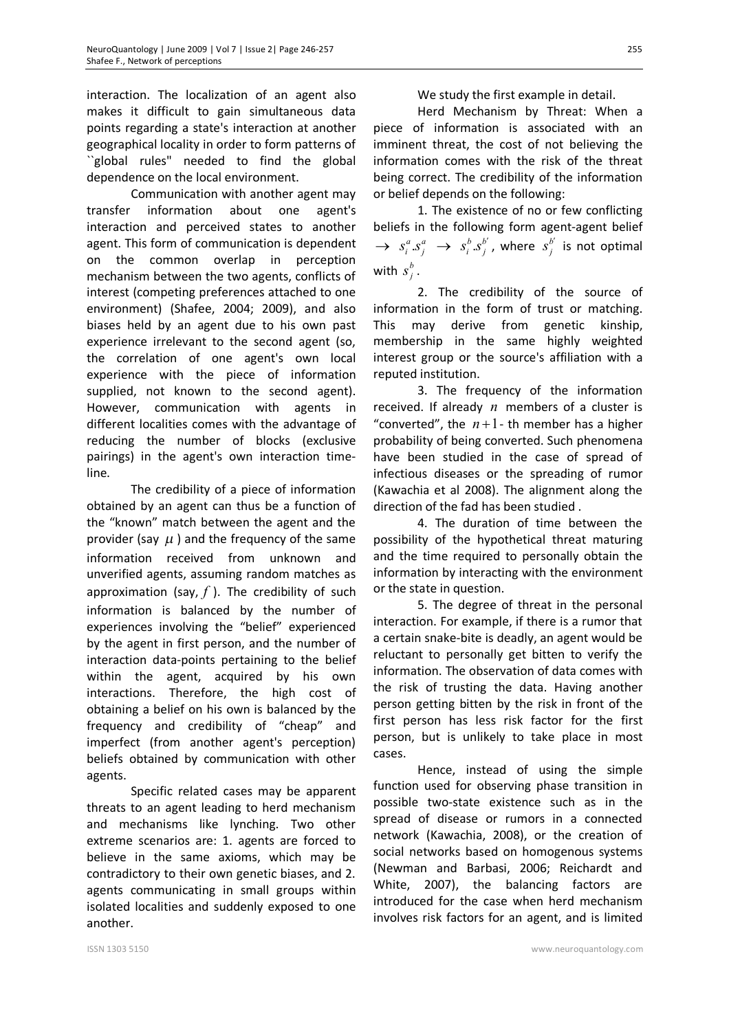interaction. The localization of an agent also makes it difficult to gain simultaneous data points regarding a state's interaction at another geographical locality in order to form patterns of ``global rules" needed to find the global dependence on the local environment.

Communication with another agent may transfer information about one agent's interaction and perceived states to another agent. This form of communication is dependent on the common overlap in perception mechanism between the two agents, conflicts of interest (competing preferences attached to one environment) (Shafee, 2004; 2009), and also biases held by an agent due to his own past experience irrelevant to the second agent (so, the correlation of one agent's own local experience with the piece of information supplied, not known to the second agent). However, communication with agents in different localities comes with the advantage of reducing the number of blocks (exclusive pairings) in the agent's own interaction timeline.

The credibility of a piece of information obtained by an agent can thus be a function of the "known" match between the agent and the provider (say  $\mu$ ) and the frequency of the same information received from unknown and unverified agents, assuming random matches as approximation (say,  $f$ ). The credibility of such information is balanced by the number of experiences involving the "belief" experienced by the agent in first person, and the number of interaction data-points pertaining to the belief within the agent, acquired by his own interactions. Therefore, the high cost of obtaining a belief on his own is balanced by the frequency and credibility of "cheap" and imperfect (from another agent's perception) beliefs obtained by communication with other agents.

Specific related cases may be apparent threats to an agent leading to herd mechanism and mechanisms like lynching. Two other extreme scenarios are: 1. agents are forced to believe in the same axioms, which may be contradictory to their own genetic biases, and 2. agents communicating in small groups within isolated localities and suddenly exposed to one another.

### We study the first example in detail.

Herd Mechanism by Threat: When a piece of information is associated with an imminent threat, the cost of not believing the information comes with the risk of the threat being correct. The credibility of the information or belief depends on the following:

1. The existence of no or few conflicting beliefs in the following form agent-agent belief  $\rightarrow$   $s_i^a.s_j^a$   $\rightarrow$   $s_i^b.s_j^{b'}$ , where  $s_j^b$  $s_j^{b'}$  is not optimal with  $s_j^b$ .

2. The credibility of the source of information in the form of trust or matching. This may derive from genetic kinship, membership in the same highly weighted interest group or the source's affiliation with a reputed institution.

3. The frequency of the information received. If already *n* members of a cluster is "converted", the  $n+1$ - th member has a higher probability of being converted. Such phenomena have been studied in the case of spread of infectious diseases or the spreading of rumor (Kawachia et al 2008). The alignment along the direction of the fad has been studied .

4. The duration of time between the possibility of the hypothetical threat maturing and the time required to personally obtain the information by interacting with the environment or the state in question.

5. The degree of threat in the personal interaction. For example, if there is a rumor that a certain snake-bite is deadly, an agent would be reluctant to personally get bitten to verify the information. The observation of data comes with the risk of trusting the data. Having another person getting bitten by the risk in front of the first person has less risk factor for the first person, but is unlikely to take place in most cases.

Hence, instead of using the simple function used for observing phase transition in possible two-state existence such as in the spread of disease or rumors in a connected network (Kawachia, 2008), or the creation of social networks based on homogenous systems (Newman and Barbasi, 2006; Reichardt and White, 2007), the balancing factors are introduced for the case when herd mechanism involves risk factors for an agent, and is limited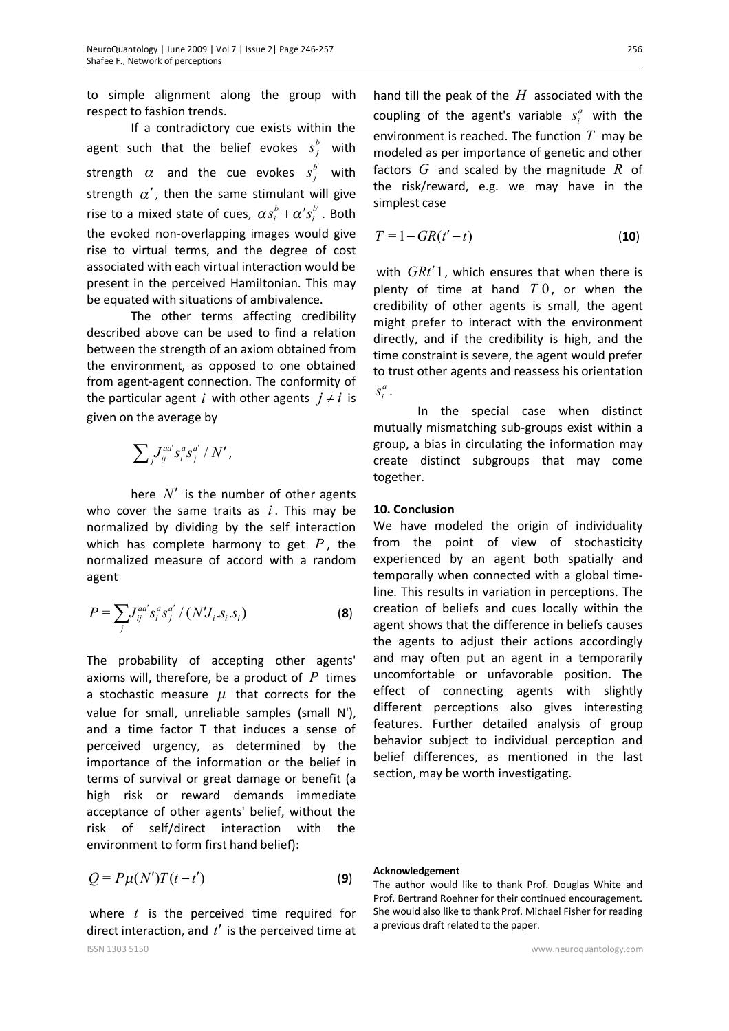to simple alignment along the group with respect to fashion trends.

If a contradictory cue exists within the agent such that the belief evokes  $s_i^b$  $s_j^b$  with strength  $\alpha$  and the cue evokes  $s_i^b$  $s_j^{b'}$  with strength  $\alpha'$ , then the same stimulant will give rise to a mixed state of cues,  $\alpha s_i^b + \alpha' s_i^{b'}$ . Both the evoked non-overlapping images would give rise to virtual terms, and the degree of cost associated with each virtual interaction would be present in the perceived Hamiltonian. This may be equated with situations of ambivalence.

The other terms affecting credibility described above can be used to find a relation between the strength of an axiom obtained from the environment, as opposed to one obtained from agent-agent connection. The conformity of the particular agent *i* with other agents  $j \neq i$  is given on the average by

$$
\sum_{j} J_{ij}^{aa'} s_i^a s_j^{a'} / N',
$$

here  $N'$  is the number of other agents who cover the same traits as *i* . This may be normalized by dividing by the self interaction which has complete harmony to get *P* , the normalized measure of accord with a random agent

$$
P = \sum_{j} J_{ij}^{aa'} s_i^a s_j^{a'} / (N' J_i . s_i . s_i)
$$
 (8)

The probability of accepting other agents' axioms will, therefore, be a product of *P* times a stochastic measure  $\mu$  that corrects for the value for small, unreliable samples (small N'), and a time factor T that induces a sense of perceived urgency, as determined by the importance of the information or the belief in terms of survival or great damage or benefit (a high risk or reward demands immediate acceptance of other agents' belief, without the risk of self/direct interaction with the environment to form first hand belief):

$$
Q = P\mu(N')T(t-t')
$$
 (9)

ISSN 1303 5150 www.neuroquantology.com where *t* is the perceived time required for direct interaction, and  $t'$  is the perceived time at

hand till the peak of the *H* associated with the coupling of the agent's variable  $s_i^a$  $s_i^a$  with the environment is reached. The function *T* may be modeled as per importance of genetic and other factors *G* and scaled by the magnitude *R* of the risk/reward, e.g. we may have in the simplest case

$$
T = 1 - GR(t'-t)
$$
\n<sup>(10)</sup>

with  $GRt'$ 1, which ensures that when there is plenty of time at hand  $T\theta$ , or when the credibility of other agents is small, the agent might prefer to interact with the environment directly, and if the credibility is high, and the time constraint is severe, the agent would prefer to trust other agents and reassess his orientation *a*  $s_i^a$ .

In the special case when distinct mutually mismatching sub-groups exist within a group, a bias in circulating the information may create distinct subgroups that may come together.

#### **10. Conclusion**

We have modeled the origin of individuality from the point of view of stochasticity experienced by an agent both spatially and temporally when connected with a global timeline. This results in variation in perceptions. The creation of beliefs and cues locally within the agent shows that the difference in beliefs causes the agents to adjust their actions accordingly and may often put an agent in a temporarily uncomfortable or unfavorable position. The effect of connecting agents with slightly different perceptions also gives interesting features. Further detailed analysis of group behavior subject to individual perception and belief differences, as mentioned in the last section, may be worth investigating.

#### **Acknowledgement**

The author would like to thank Prof. Douglas White and Prof. Bertrand Roehner for their continued encouragement. She would also like to thank Prof. Michael Fisher for reading a previous draft related to the paper.